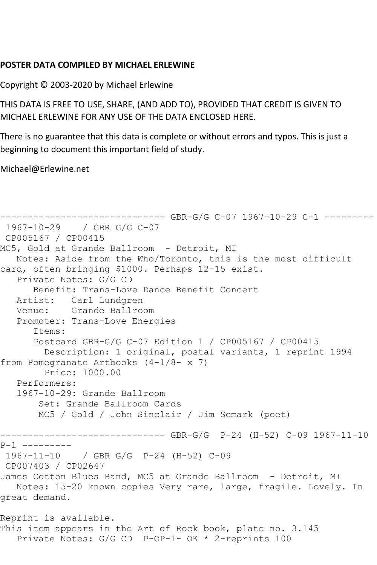## **POSTER DATA COMPILED BY MICHAEL ERLEWINE**

Copyright © 2003-2020 by Michael Erlewine

THIS DATA IS FREE TO USE, SHARE, (AND ADD TO), PROVIDED THAT CREDIT IS GIVEN TO MICHAEL ERLEWINE FOR ANY USE OF THE DATA ENCLOSED HERE.

There is no guarantee that this data is complete or without errors and typos. This is just a beginning to document this important field of study.

Michael@Erlewine.net

```
------------------------------ GBR-G/G C-07 1967-10-29 C-1 ---------
1967-10-29 / GBR G/G C-07
CP005167 / CP00415
MC5, Gold at Grande Ballroom - Detroit, MI
   Notes: Aside from the Who/Toronto, this is the most difficult 
card, often bringing $1000. Perhaps 12-15 exist.
   Private Notes: G/G CD
      Benefit: Trans-Love Dance Benefit Concert
   Artist: Carl Lundgren
   Venue: Grande Ballroom
   Promoter: Trans-Love Energies
      Items:
      Postcard GBR-G/G C-07 Edition 1 / CP005167 / CP00415
         Description: 1 original, postal variants, 1 reprint 1994 
from Pomegranate Artbooks (4-1/8- x 7)
        Price: 1000.00
   Performers:
   1967-10-29: Grande Ballroom
        Set: Grande Ballroom Cards
       MC5 / Gold / John Sinclair / Jim Semark (poet)
------------------------------ GBR-G/G P-24 (H-52) C-09 1967-11-10 
P-1 ---------
1967-11-10 / GBR G/G P-24 (H-52) C-09
CP007403 / CP02647
James Cotton Blues Band, MC5 at Grande Ballroom - Detroit, MI
   Notes: 15-20 known copies Very rare, large, fragile. Lovely. In 
great demand.
Reprint is available.
This item appears in the Art of Rock book, plate no. 3.145
   Private Notes: G/G CD P-OP-1- OK * 2-reprints 100
```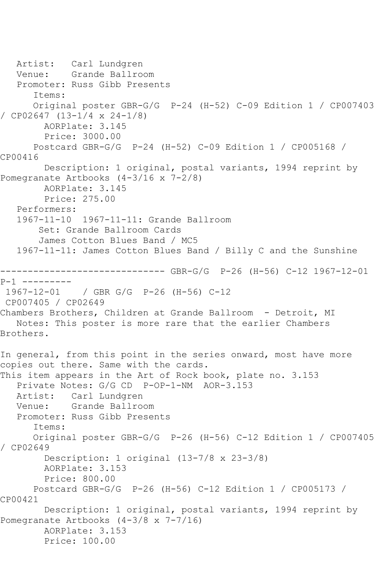```
 Artist: Carl Lundgren
   Venue: Grande Ballroom
   Promoter: Russ Gibb Presents
       Items:
       Original poster GBR-G/G P-24 (H-52) C-09 Edition 1 / CP007403 
/ CP02647 (13-1/4 x 24-1/8)
        AORPlate: 3.145 
         Price: 3000.00
       Postcard GBR-G/G P-24 (H-52) C-09 Edition 1 / CP005168 / 
CP00416
         Description: 1 original, postal variants, 1994 reprint by 
Pomegranate Artbooks (4-3/16 x 7-2/8)
         AORPlate: 3.145 
         Price: 275.00
   Performers:
    1967-11-10 1967-11-11: Grande Ballroom
        Set: Grande Ballroom Cards
        James Cotton Blues Band / MC5
    1967-11-11: James Cotton Blues Band / Billy C and the Sunshine
------------------------------ GBR-G/G P-26 (H-56) C-12 1967-12-01 
P-1 ---------
1967-12-01 / GBR G/G P-26 (H-56) C-12
CP007405 / CP02649
Chambers Brothers, Children at Grande Ballroom - Detroit, MI
   Notes: This poster is more rare that the earlier Chambers 
Brothers.
In general, from this point in the series onward, most have more 
copies out there. Same with the cards.
This item appears in the Art of Rock book, plate no. 3.153
    Private Notes: G/G CD P-OP-1-NM AOR-3.153
  Artist: Carl Lundgren<br>Venue: Grande Ballro
            Grande Ballroom
   Promoter: Russ Gibb Presents
       Items:
       Original poster GBR-G/G P-26 (H-56) C-12 Edition 1 / CP007405 
/ CP02649
         Description: 1 original (13-7/8 x 23-3/8)
         AORPlate: 3.153 
         Price: 800.00
       Postcard GBR-G/G P-26 (H-56) C-12 Edition 1 / CP005173 / 
CP00421
         Description: 1 original, postal variants, 1994 reprint by 
Pomegranate Artbooks (4-3/8 x 7-7/16)
         AORPlate: 3.153 
         Price: 100.00
```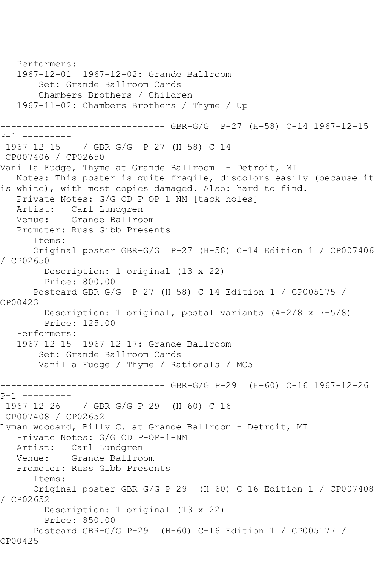```
 Performers:
   1967-12-01 1967-12-02: Grande Ballroom
        Set: Grande Ballroom Cards
        Chambers Brothers / Children
   1967-11-02: Chambers Brothers / Thyme / Up
        ------------------------------ GBR-G/G P-27 (H-58) C-14 1967-12-15 
P-1 ---------<br>1967-12-15
             / GBR G/G P-27 (H-58) C-14
CP007406 / CP02650
Vanilla Fudge, Thyme at Grande Ballroom - Detroit, MI
   Notes: This poster is quite fragile, discolors easily (because it 
is white), with most copies damaged. Also: hard to find.
   Private Notes: G/G CD P-OP-1-NM [tack holes]
   Artist: Carl Lundgren
   Venue: Grande Ballroom
   Promoter: Russ Gibb Presents
       Items:
       Original poster GBR-G/G P-27 (H-58) C-14 Edition 1 / CP007406 
/ CP02650
         Description: 1 original (13 x 22)
         Price: 800.00
      Postcard GBR-G/G P-27 (H-58) C-14 Edition 1 / CP005175 / 
CP00423
         Description: 1 original, postal variants (4-2/8 x 7-5/8)
         Price: 125.00
   Performers:
   1967-12-15 1967-12-17: Grande Ballroom
        Set: Grande Ballroom Cards
        Vanilla Fudge / Thyme / Rationals / MC5
------------------------------ GBR-G/G P-29 (H-60) C-16 1967-12-26 
P-1 ---------
1967-12-26 / GBR G/G P-29 (H-60) C-16
CP007408 / CP02652
Lyman woodard, Billy C. at Grande Ballroom - Detroit, MI
   Private Notes: G/G CD P-OP-1-NM
   Artist: Carl Lundgren
   Venue: Grande Ballroom
   Promoter: Russ Gibb Presents
       Items:
      Original poster GBR-G/G P-29 (H-60) C-16 Edition 1 / CP007408 
/ CP02652
         Description: 1 original (13 x 22)
         Price: 850.00
       Postcard GBR-G/G P-29 (H-60) C-16 Edition 1 / CP005177 / 
CP00425
```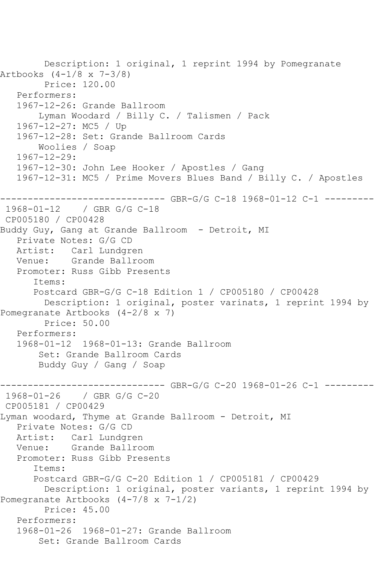```
 Description: 1 original, 1 reprint 1994 by Pomegranate 
Artbooks (4-1/8 x 7-3/8)
        Price: 120.00
   Performers:
   1967-12-26: Grande Ballroom
        Lyman Woodard / Billy C. / Talismen / Pack
   1967-12-27: MC5 / Up
   1967-12-28: Set: Grande Ballroom Cards
        Woolies / Soap
   1967-12-29:
   1967-12-30: John Lee Hooker / Apostles / Gang
   1967-12-31: MC5 / Prime Movers Blues Band / Billy C. / Apostles
------------------------------ GBR-G/G C-18 1968-01-12 C-1 ---------
1968-01-12 / GBR G/G C-18
CP005180 / CP00428
Buddy Guy, Gang at Grande Ballroom - Detroit, MI
   Private Notes: G/G CD
   Artist: Carl Lundgren
   Venue: Grande Ballroom
   Promoter: Russ Gibb Presents
       Items:
      Postcard GBR-G/G C-18 Edition 1 / CP005180 / CP00428
        Description: 1 original, poster varinats, 1 reprint 1994 by 
Pomegranate Artbooks (4-2/8 x 7)
        Price: 50.00
   Performers:
   1968-01-12 1968-01-13: Grande Ballroom
        Set: Grande Ballroom Cards
        Buddy Guy / Gang / Soap
                 ------------------------------ GBR-G/G C-20 1968-01-26 C-1 ---------
1968-01-26 / GBR G/G C-20
CP005181 / CP00429
Lyman woodard, Thyme at Grande Ballroom - Detroit, MI
   Private Notes: G/G CD
   Artist: Carl Lundgren
   Venue: Grande Ballroom
   Promoter: Russ Gibb Presents
       Items:
      Postcard GBR-G/G C-20 Edition 1 / CP005181 / CP00429
         Description: 1 original, poster variants, 1 reprint 1994 by 
Pomegranate Artbooks (4-7/8 x 7-1/2)
         Price: 45.00
   Performers:
   1968-01-26 1968-01-27: Grande Ballroom
        Set: Grande Ballroom Cards
```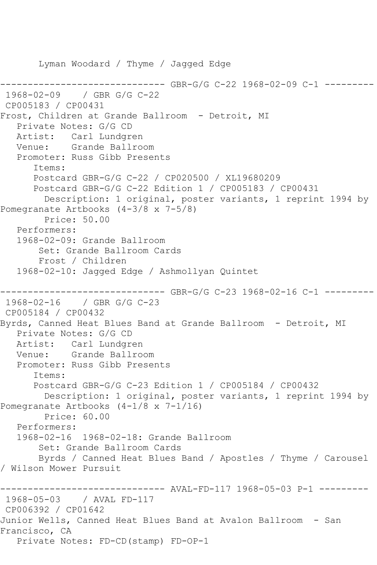```
 Lyman Woodard / Thyme / Jagged Edge
                       ------------------------------ GBR-G/G C-22 1968-02-09 C-1 ---------
1968-02-09 / GBR G/G C-22
CP005183 / CP00431
Frost, Children at Grande Ballroom - Detroit, MI
   Private Notes: G/G CD
   Artist: Carl Lundgren
   Venue: Grande Ballroom
   Promoter: Russ Gibb Presents
       Items:
      Postcard GBR-G/G C-22 / CP020500 / XL19680209
       Postcard GBR-G/G C-22 Edition 1 / CP005183 / CP00431
         Description: 1 original, poster variants, 1 reprint 1994 by 
Pomegranate Artbooks (4-3/8 x 7-5/8)
         Price: 50.00
   Performers:
   1968-02-09: Grande Ballroom
        Set: Grande Ballroom Cards
        Frost / Children
   1968-02-10: Jagged Edge / Ashmollyan Quintet
------------------------------ GBR-G/G C-23 1968-02-16 C-1 ---------
1968-02-16 / GBR G/G C-23
CP005184 / CP00432
Byrds, Canned Heat Blues Band at Grande Ballroom - Detroit, MI
   Private Notes: G/G CD
   Artist: Carl Lundgren
   Venue: Grande Ballroom
   Promoter: Russ Gibb Presents
       Items:
       Postcard GBR-G/G C-23 Edition 1 / CP005184 / CP00432
         Description: 1 original, poster variants, 1 reprint 1994 by 
Pomegranate Artbooks (4-1/8 x 7-1/16)
         Price: 60.00
   Performers:
   1968-02-16 1968-02-18: Grande Ballroom
        Set: Grande Ballroom Cards
        Byrds / Canned Heat Blues Band / Apostles / Thyme / Carousel 
/ Wilson Mower Pursuit
------------------------------ AVAL-FD-117 1968-05-03 P-1 ---------
1968-05-03 / AVAL FD-117
CP006392 / CP01642
Junior Wells, Canned Heat Blues Band at Avalon Ballroom - San 
Francisco, CA
   Private Notes: FD-CD(stamp) FD-OP-1
```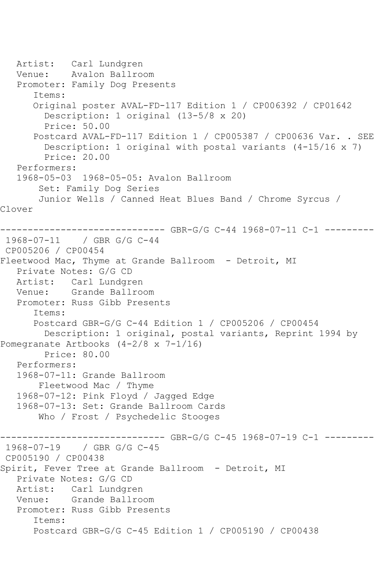```
 Artist: Carl Lundgren
   Venue: Avalon Ballroom
   Promoter: Family Dog Presents
       Items:
      Original poster AVAL-FD-117 Edition 1 / CP006392 / CP01642
         Description: 1 original (13-5/8 x 20)
         Price: 50.00
       Postcard AVAL-FD-117 Edition 1 / CP005387 / CP00636 Var. . SEE
         Description: 1 original with postal variants (4-15/16 x 7)
         Price: 20.00
   Performers:
   1968-05-03 1968-05-05: Avalon Ballroom
        Set: Family Dog Series
        Junior Wells / Canned Heat Blues Band / Chrome Syrcus / 
Clover
------------------------------ GBR-G/G C-44 1968-07-11 C-1 ---------
1968-07-11 / GBR G/G C-44
CP005206 / CP00454
Fleetwood Mac, Thyme at Grande Ballroom - Detroit, MI
   Private Notes: G/G CD
   Artist: Carl Lundgren
   Venue: Grande Ballroom
   Promoter: Russ Gibb Presents
       Items:
      Postcard GBR-G/G C-44 Edition 1 / CP005206 / CP00454
        Description: 1 original, postal variants, Reprint 1994 by 
Pomegranate Artbooks (4-2/8 x 7-1/16)
        Price: 80.00
   Performers:
   1968-07-11: Grande Ballroom
        Fleetwood Mac / Thyme
   1968-07-12: Pink Floyd / Jagged Edge
   1968-07-13: Set: Grande Ballroom Cards
        Who / Frost / Psychedelic Stooges
------------------------------ GBR-G/G C-45 1968-07-19 C-1 ---------
1968-07-19 / GBR G/G C-45
CP005190 / CP00438
Spirit, Fever Tree at Grande Ballroom - Detroit, MI
   Private Notes: G/G CD
   Artist: Carl Lundgren
   Venue: Grande Ballroom
   Promoter: Russ Gibb Presents
       Items:
       Postcard GBR-G/G C-45 Edition 1 / CP005190 / CP00438
```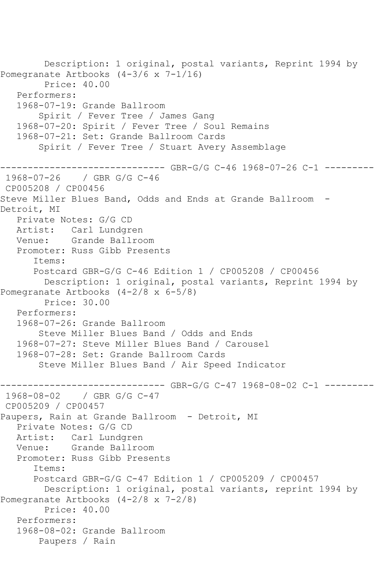```
 Description: 1 original, postal variants, Reprint 1994 by 
Pomegranate Artbooks (4-3/6 x 7-1/16)
         Price: 40.00
   Performers:
   1968-07-19: Grande Ballroom
        Spirit / Fever Tree / James Gang
   1968-07-20: Spirit / Fever Tree / Soul Remains
   1968-07-21: Set: Grande Ballroom Cards
        Spirit / Fever Tree / Stuart Avery Assemblage
------------------------------ GBR-G/G C-46 1968-07-26 C-1 ---------
1968-07-26 / GBR G/G C-46
CP005208 / CP00456
Steve Miller Blues Band, Odds and Ends at Grande Ballroom -
Detroit, MI
   Private Notes: G/G CD
   Artist: Carl Lundgren
   Venue: Grande Ballroom
   Promoter: Russ Gibb Presents
       Items:
       Postcard GBR-G/G C-46 Edition 1 / CP005208 / CP00456
         Description: 1 original, postal variants, Reprint 1994 by 
Pomegranate Artbooks (4-2/8 x 6-5/8)
         Price: 30.00
   Performers:
   1968-07-26: Grande Ballroom
        Steve Miller Blues Band / Odds and Ends
   1968-07-27: Steve Miller Blues Band / Carousel
   1968-07-28: Set: Grande Ballroom Cards
        Steve Miller Blues Band / Air Speed Indicator
                  ------------ GBR-G/G C-47 1968-08-02 C-1 ---------
1968-08-02 / GBR G/G C-47
CP005209 / CP00457
Paupers, Rain at Grande Ballroom - Detroit, MI
   Private Notes: G/G CD
   Artist: Carl Lundgren
   Venue: Grande Ballroom
   Promoter: Russ Gibb Presents
       Items:
      Postcard GBR-G/G C-47 Edition 1 / CP005209 / CP00457
         Description: 1 original, postal variants, reprint 1994 by 
Pomegranate Artbooks (4-2/8 x 7-2/8)
         Price: 40.00
   Performers:
   1968-08-02: Grande Ballroom
        Paupers / Rain
```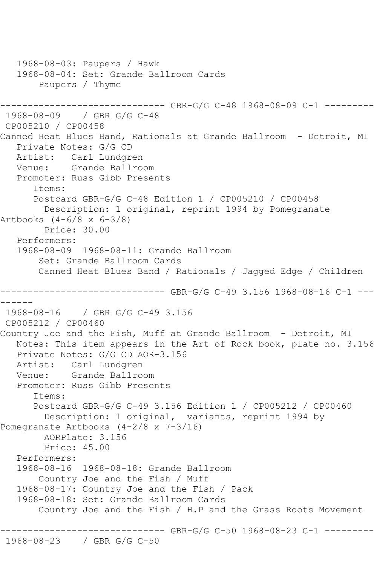```
 1968-08-03: Paupers / Hawk
    1968-08-04: Set: Grande Ballroom Cards
        Paupers / Thyme
------------------------------ GBR-G/G C-48 1968-08-09 C-1 ---------
1968-08-09 / GBR G/G C-48
CP005210 / CP00458
Canned Heat Blues Band, Rationals at Grande Ballroom - Detroit, MI
    Private Notes: G/G CD
   Artist: Carl Lundgren
   Venue: Grande Ballroom
    Promoter: Russ Gibb Presents
       Items:
       Postcard GBR-G/G C-48 Edition 1 / CP005210 / CP00458
        Description: 1 original, reprint 1994 by Pomegranate 
Artbooks (4-6/8 x 6-3/8)
         Price: 30.00
    Performers:
    1968-08-09 1968-08-11: Grande Ballroom
        Set: Grande Ballroom Cards
        Canned Heat Blues Band / Rationals / Jagged Edge / Children
                     ------------------------------ GBR-G/G C-49 3.156 1968-08-16 C-1 ---
------
1968-08-16 / GBR G/G C-49 3.156
CP005212 / CP00460
Country Joe and the Fish, Muff at Grande Ballroom - Detroit, MI
   Notes: This item appears in the Art of Rock book, plate no. 3.156
   Private Notes: G/G CD AOR-3.156
   Artist: Carl Lundgren
   Venue: Grande Ballroom
    Promoter: Russ Gibb Presents
       Items:
       Postcard GBR-G/G C-49 3.156 Edition 1 / CP005212 / CP00460
         Description: 1 original, variants, reprint 1994 by 
Pomegranate Artbooks (4-2/8 x 7-3/16)
         AORPlate: 3.156 
         Price: 45.00
    Performers:
    1968-08-16 1968-08-18: Grande Ballroom
        Country Joe and the Fish / Muff
    1968-08-17: Country Joe and the Fish / Pack
    1968-08-18: Set: Grande Ballroom Cards
        Country Joe and the Fish / H.P and the Grass Roots Movement
                    ------------------------------ GBR-G/G C-50 1968-08-23 C-1 ---------
1968-08-23 / GBR G/G C-50
```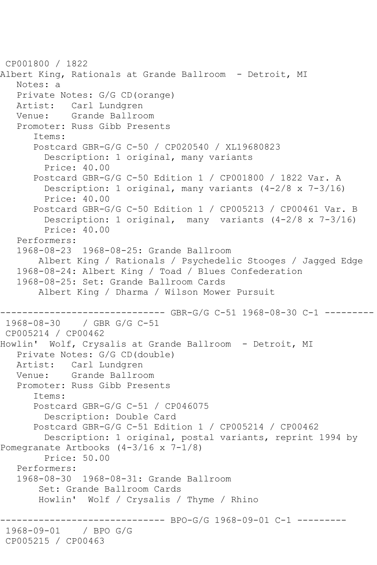```
CP001800 / 1822
Albert King, Rationals at Grande Ballroom - Detroit, MI
   Notes: a
    Private Notes: G/G CD(orange)
   Artist: Carl Lundgren
   Venue: Grande Ballroom
    Promoter: Russ Gibb Presents
       Items:
       Postcard GBR-G/G C-50 / CP020540 / XL19680823
         Description: 1 original, many variants
         Price: 40.00
       Postcard GBR-G/G C-50 Edition 1 / CP001800 / 1822 Var. A
         Description: 1 original, many variants (4-2/8 x 7-3/16)
         Price: 40.00
       Postcard GBR-G/G C-50 Edition 1 / CP005213 / CP00461 Var. B
         Description: 1 original, many variants (4-2/8 x 7-3/16)
         Price: 40.00
    Performers:
    1968-08-23 1968-08-25: Grande Ballroom
        Albert King / Rationals / Psychedelic Stooges / Jagged Edge
    1968-08-24: Albert King / Toad / Blues Confederation
    1968-08-25: Set: Grande Ballroom Cards
        Albert King / Dharma / Wilson Mower Pursuit
                    ------------------------------ GBR-G/G C-51 1968-08-30 C-1 ---------
1968-08-30 / GBR G/G C-51
CP005214 / CP00462
Howlin' Wolf, Crysalis at Grande Ballroom - Detroit, MI
    Private Notes: G/G CD(double)
   Artist: Carl Lundgren
   Venue: Grande Ballroom
    Promoter: Russ Gibb Presents
       Items:
       Postcard GBR-G/G C-51 / CP046075
         Description: Double Card
       Postcard GBR-G/G C-51 Edition 1 / CP005214 / CP00462
         Description: 1 original, postal variants, reprint 1994 by 
Pomegranate Artbooks (4-3/16 x 7-1/8)
         Price: 50.00
    Performers:
    1968-08-30 1968-08-31: Grande Ballroom
        Set: Grande Ballroom Cards
        Howlin' Wolf / Crysalis / Thyme / Rhino
                         ------------------------------ BPO-G/G 1968-09-01 C-1 ---------
1968-09-01 / BPO G/G
CP005215 / CP00463
```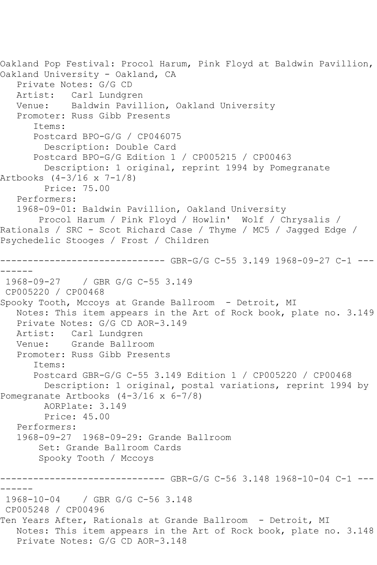```
Oakland Pop Festival: Procol Harum, Pink Floyd at Baldwin Pavillion, 
Oakland University - Oakland, CA
   Private Notes: G/G CD
  Artist: Carl Lundgren<br>Venue: Baldwin Pavil
           Baldwin Pavillion, Oakland University
   Promoter: Russ Gibb Presents
       Items:
       Postcard BPO-G/G / CP046075
         Description: Double Card
       Postcard BPO-G/G Edition 1 / CP005215 / CP00463
         Description: 1 original, reprint 1994 by Pomegranate 
Artbooks (4-3/16 x 7-1/8)
        Price: 75.00
   Performers:
   1968-09-01: Baldwin Pavillion, Oakland University
        Procol Harum / Pink Floyd / Howlin' Wolf / Chrysalis / 
Rationals / SRC - Scot Richard Case / Thyme / MC5 / Jagged Edge / 
Psychedelic Stooges / Frost / Children
                    ---------- GBR-G/G C-55 3.149 1968-09-27 C-1 ---
------
1968-09-27 / GBR G/G C-55 3.149
CP005220 / CP00468
Spooky Tooth, Mccoys at Grande Ballroom - Detroit, MI
   Notes: This item appears in the Art of Rock book, plate no. 3.149
   Private Notes: G/G CD AOR-3.149
   Artist: Carl Lundgren
   Venue: Grande Ballroom
   Promoter: Russ Gibb Presents
       Items:
      Postcard GBR-G/G C-55 3.149 Edition 1 / CP005220 / CP00468
         Description: 1 original, postal variations, reprint 1994 by 
Pomegranate Artbooks (4-3/16 x 6-7/8)
         AORPlate: 3.149 
         Price: 45.00
   Performers:
   1968-09-27 1968-09-29: Grande Ballroom
        Set: Grande Ballroom Cards
        Spooky Tooth / Mccoys
                       ------GBR-G/G C-56 3.148 1968-10-04 C-1 ---------
1968-10-04 / GBR G/G C-56 3.148
CP005248 / CP00496
Ten Years After, Rationals at Grande Ballroom - Detroit, MI
   Notes: This item appears in the Art of Rock book, plate no. 3.148
   Private Notes: G/G CD AOR-3.148
```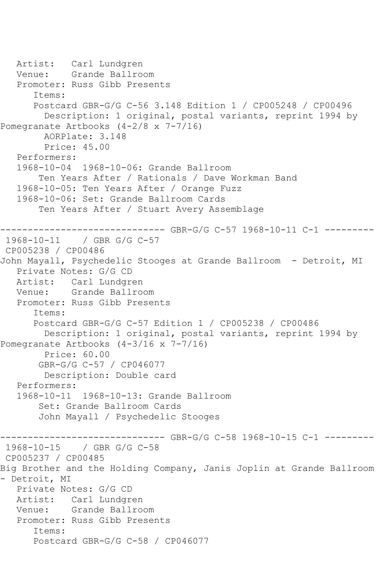```
 Artist: Carl Lundgren
   Venue: Grande Ballroom
   Promoter: Russ Gibb Presents
       Items:
       Postcard GBR-G/G C-56 3.148 Edition 1 / CP005248 / CP00496
         Description: 1 original, postal variants, reprint 1994 by 
Pomegranate Artbooks (4-2/8 x 7-7/16)
         AORPlate: 3.148 
         Price: 45.00
   Performers:
   1968-10-04 1968-10-06: Grande Ballroom
        Ten Years After / Rationals / Dave Workman Band
   1968-10-05: Ten Years After / Orange Fuzz
   1968-10-06: Set: Grande Ballroom Cards
        Ten Years After / Stuart Avery Assemblage
------------------------------ GBR-G/G C-57 1968-10-11 C-1 ---------
              / GBR G/G C-57
CP005238 / CP00486
John Mayall, Psychedelic Stooges at Grande Ballroom - Detroit, MI
   Private Notes: G/G CD
   Artist: Carl Lundgren
   Venue: Grande Ballroom
   Promoter: Russ Gibb Presents
       Items:
      Postcard GBR-G/G C-57 Edition 1 / CP005238 / CP00486
         Description: 1 original, postal variants, reprint 1994 by 
Pomegranate Artbooks (4-3/16 x 7-7/16)
         Price: 60.00
        GBR-G/G C-57 / CP046077
        Description: Double card
   Performers:
   1968-10-11 1968-10-13: Grande Ballroom
        Set: Grande Ballroom Cards
        John Mayall / Psychedelic Stooges
------------------------------ GBR-G/G C-58 1968-10-15 C-1 ---------
1968-10-15 / GBR G/G C-58
CP005237 / CP00485
Big Brother and the Holding Company, Janis Joplin at Grande Ballroom 
- Detroit, MI
   Private Notes: G/G CD
   Artist: Carl Lundgren
   Venue: Grande Ballroom
   Promoter: Russ Gibb Presents
       Items:
       Postcard GBR-G/G C-58 / CP046077
```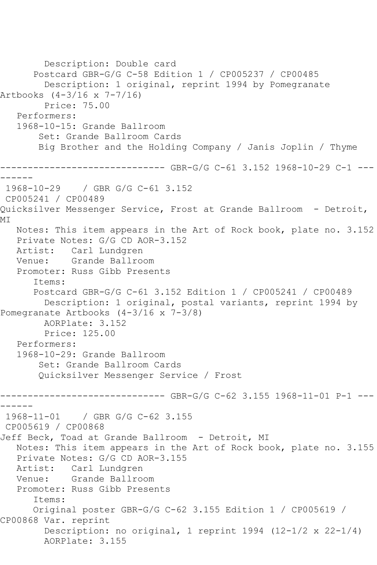Description: Double card Postcard GBR-G/G C-58 Edition 1 / CP005237 / CP00485 Description: 1 original, reprint 1994 by Pomegranate Artbooks (4-3/16 x 7-7/16) Price: 75.00 Performers: 1968-10-15: Grande Ballroom Set: Grande Ballroom Cards Big Brother and the Holding Company / Janis Joplin / Thyme ------------------------------ GBR-G/G C-61 3.152 1968-10-29 C-1 --- ------ 1968-10-29 / GBR G/G C-61 3.152 CP005241 / CP00489 Quicksilver Messenger Service, Frost at Grande Ballroom - Detroit, MI Notes: This item appears in the Art of Rock book, plate no. 3.152 Private Notes: G/G CD AOR-3.152 Artist: Carl Lundgren Venue: Grande Ballroom Promoter: Russ Gibb Presents Items: Postcard GBR-G/G C-61 3.152 Edition 1 / CP005241 / CP00489 Description: 1 original, postal variants, reprint 1994 by Pomegranate Artbooks (4-3/16 x 7-3/8) AORPlate: 3.152 Price: 125.00 Performers: 1968-10-29: Grande Ballroom Set: Grande Ballroom Cards Quicksilver Messenger Service / Frost ------------------------------ GBR-G/G C-62 3.155 1968-11-01 P-1 --- ------ 1968-11-01 / GBR G/G C-62 3.155 CP005619 / CP00868 Jeff Beck, Toad at Grande Ballroom - Detroit, MI Notes: This item appears in the Art of Rock book, plate no. 3.155 Private Notes: G/G CD AOR-3.155 Artist: Carl Lundgren Venue: Grande Ballroom Promoter: Russ Gibb Presents Items: Original poster GBR-G/G C-62 3.155 Edition 1 / CP005619 / CP00868 Var. reprint Description: no original, 1 reprint 1994 (12-1/2 x 22-1/4) AORPlate: 3.155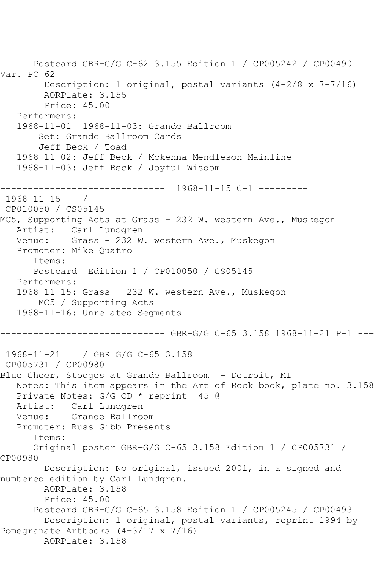```
 Postcard GBR-G/G C-62 3.155 Edition 1 / CP005242 / CP00490 
Var. PC 62
         Description: 1 original, postal variants (4-2/8 x 7-7/16)
         AORPlate: 3.155 
         Price: 45.00
   Performers:
    1968-11-01 1968-11-03: Grande Ballroom
        Set: Grande Ballroom Cards
        Jeff Beck / Toad
    1968-11-02: Jeff Beck / Mckenna Mendleson Mainline
    1968-11-03: Jeff Beck / Joyful Wisdom
         ------------------------------ 1968-11-15 C-1 ---------
1968-11-15 / 
CP010050 / CS05145
MC5, Supporting Acts at Grass - 232 W. western Ave., Muskegon
  Artist: Carl Lundgren<br>Venue: Grass - 232 W
            Grass - 232 W. western Ave., Muskegon
    Promoter: Mike Quatro
       Items:
       Postcard Edition 1 / CP010050 / CS05145
    Performers:
    1968-11-15: Grass - 232 W. western Ave., Muskegon
        MC5 / Supporting Acts
    1968-11-16: Unrelated Segments
------------------------------ GBR-G/G C-65 3.158 1968-11-21 P-1 ---
------
1968-11-21 / GBR G/G C-65 3.158
CP005731 / CP00980
Blue Cheer, Stooges at Grande Ballroom - Detroit, MI
   Notes: This item appears in the Art of Rock book, plate no. 3.158
   Private Notes: G/G CD * reprint 45 @
   Artist: Carl Lundgren
   Venue: Grande Ballroom
   Promoter: Russ Gibb Presents
       Items:
       Original poster GBR-G/G C-65 3.158 Edition 1 / CP005731 / 
CP00980
         Description: No original, issued 2001, in a signed and 
numbered edition by Carl Lundgren.
         AORPlate: 3.158 
         Price: 45.00
       Postcard GBR-G/G C-65 3.158 Edition 1 / CP005245 / CP00493
         Description: 1 original, postal variants, reprint 1994 by 
Pomegranate Artbooks (4-3/17 x 7/16)
         AORPlate: 3.158
```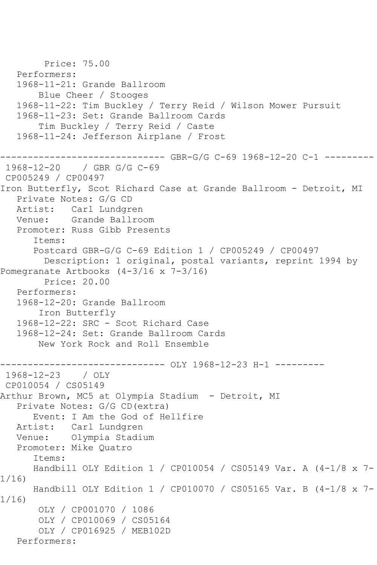```
 Price: 75.00
    Performers:
    1968-11-21: Grande Ballroom
        Blue Cheer / Stooges
    1968-11-22: Tim Buckley / Terry Reid / Wilson Mower Pursuit
    1968-11-23: Set: Grande Ballroom Cards
        Tim Buckley / Terry Reid / Caste
    1968-11-24: Jefferson Airplane / Frost
       ------------------------------ GBR-G/G C-69 1968-12-20 C-1 ---------
1968-12-20 / GBR G/G C-69
CP005249 / CP00497
Iron Butterfly, Scot Richard Case at Grande Ballroom - Detroit, MI
    Private Notes: G/G CD
   Artist: Carl Lundgren
   Venue: Grande Ballroom
    Promoter: Russ Gibb Presents
       Items:
       Postcard GBR-G/G C-69 Edition 1 / CP005249 / CP00497
         Description: 1 original, postal variants, reprint 1994 by 
Pomegranate Artbooks (4-3/16 x 7-3/16)
         Price: 20.00
   Performers:
    1968-12-20: Grande Ballroom
        Iron Butterfly
    1968-12-22: SRC - Scot Richard Case
    1968-12-24: Set: Grande Ballroom Cards
        New York Rock and Roll Ensemble
--------------------------------- OLY 1968-12-23 H-1 ----------<br>1968-12-23   / OLY
1968-12-23
CP010054 / CS05149
Arthur Brown, MC5 at Olympia Stadium - Detroit, MI
    Private Notes: G/G CD(extra)
       Event: I Am the God of Hellfire
   Artist: Carl Lundgren
   Venue: Olympia Stadium
    Promoter: Mike Quatro
       Items:
       Handbill OLY Edition 1 / CP010054 / CS05149 Var. A (4-1/8 x 7-
1/16)
       Handbill OLY Edition 1 / CP010070 / CS05165 Var. B (4-1/8 x 7-
1/16)
        OLY / CP001070 / 1086
        OLY / CP010069 / CS05164
        OLY / CP016925 / MEB102D
   Performers:
```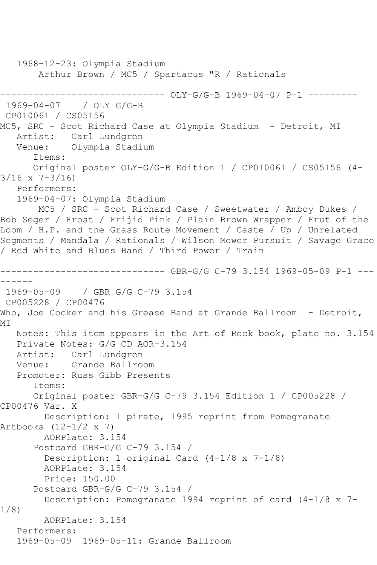1968-12-23: Olympia Stadium Arthur Brown / MC5 / Spartacus "R / Rationals ------------------------------ OLY-G/G-B 1969-04-07 P-1 --------- 1969-04-07 / OLY G/G-B CP010061 / CS05156 MC5, SRC - Scot Richard Case at Olympia Stadium - Detroit, MI Artist: Carl Lundgren Venue: Olympia Stadium Items: Original poster OLY-G/G-B Edition 1 / CP010061 / CS05156 (4- 3/16 x 7-3/16) Performers: 1969-04-07: Olympia Stadium MC5 / SRC - Scot Richard Case / Sweetwater / Amboy Dukes / Bob Seger / Frost / Frijid Pink / Plain Brown Wrapper / Frut of the Loom / H.P. and the Grass Route Movement / Caste / Up / Unrelated Segments / Mandala / Rationals / Wilson Mower Pursuit / Savage Grace / Red White and Blues Band / Third Power / Train ------------------------------ GBR-G/G C-79 3.154 1969-05-09 P-1 --- ------ 1969-05-09 / GBR G/G C-79 3.154 CP005228 / CP00476 Who, Joe Cocker and his Grease Band at Grande Ballroom - Detroit, MI Notes: This item appears in the Art of Rock book, plate no. 3.154 Private Notes: G/G CD AOR-3.154 Artist: Carl Lundgren Venue: Grande Ballroom Promoter: Russ Gibb Presents Items: Original poster GBR-G/G C-79 3.154 Edition 1 / CP005228 / CP00476 Var. X Description: 1 pirate, 1995 reprint from Pomegranate Artbooks (12-1/2 x 7) AORPlate: 3.154 Postcard GBR-G/G C-79 3.154 / Description: 1 original Card (4-1/8 x 7-1/8) AORPlate: 3.154 Price: 150.00 Postcard GBR-G/G C-79 3.154 / Description: Pomegranate 1994 reprint of card (4-1/8 x 7- 1/8) AORPlate: 3.154 Performers: 1969-05-09 1969-05-11: Grande Ballroom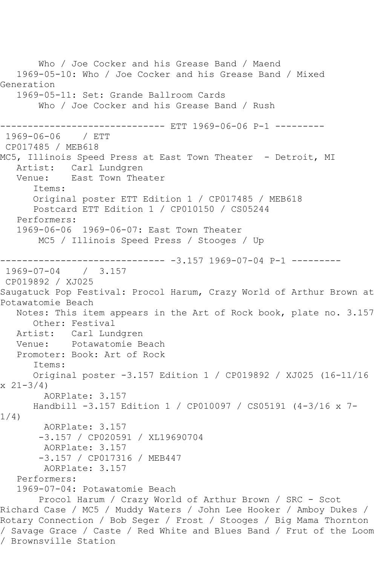Who / Joe Cocker and his Grease Band / Maend 1969-05-10: Who / Joe Cocker and his Grease Band / Mixed Generation 1969-05-11: Set: Grande Ballroom Cards Who / Joe Cocker and his Grease Band / Rush -------------- ETT 1969-06-06 P-1 ---------1969-06-06 / ETT CP017485 / MEB618 MC5, Illinois Speed Press at East Town Theater - Detroit, MI Artist: Carl Lundgren<br>Venue: East Town Thea East Town Theater Items: Original poster ETT Edition 1 / CP017485 / MEB618 Postcard ETT Edition 1 / CP010150 / CS05244 Performers: 1969-06-06 1969-06-07: East Town Theater MC5 / Illinois Speed Press / Stooges / Up ----------------------------- -3.157 1969-07-04 P-1 ---------<br>1969-07-04 / 3.157 1969-07-04 CP019892 / XJ025 Saugatuck Pop Festival: Procol Harum, Crazy World of Arthur Brown at Potawatomie Beach Notes: This item appears in the Art of Rock book, plate no. 3.157 Other: Festival Artist: Carl Lundgren Venue: Potawatomie Beach Promoter: Book: Art of Rock Items: Original poster -3.157 Edition 1 / CP019892 / XJ025 (16-11/16  $x \ 21 - 3/4$  AORPlate: 3.157 Handbill -3.157 Edition 1 / CP010097 / CS05191 (4-3/16 x 7- 1/4) AORPlate: 3.157 -3.157 / CP020591 / XL19690704 AORPlate: 3.157 -3.157 / CP017316 / MEB447 AORPlate: 3.157 Performers: 1969-07-04: Potawatomie Beach Procol Harum / Crazy World of Arthur Brown / SRC - Scot Richard Case / MC5 / Muddy Waters / John Lee Hooker / Amboy Dukes / Rotary Connection / Bob Seger / Frost / Stooges / Big Mama Thornton / Savage Grace / Caste / Red White and Blues Band / Frut of the Loom / Brownsville Station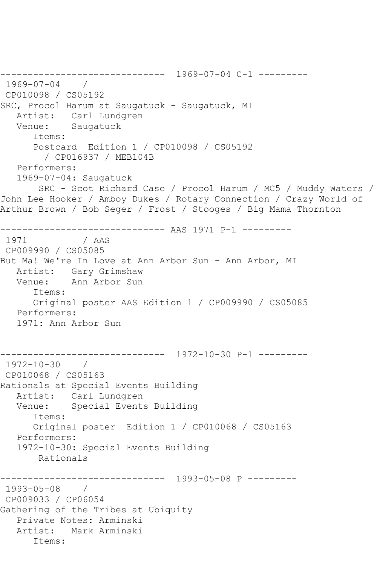------------------------------ 1969-07-04 C-1 --------- 1969-07-04 / CP010098 / CS05192 SRC, Procol Harum at Saugatuck - Saugatuck, MI Artist: Carl Lundgren Venue: Saugatuck Items: Postcard Edition 1 / CP010098 / CS05192 / CP016937 / MEB104B Performers: 1969-07-04: Saugatuck SRC - Scot Richard Case / Procol Harum / MC5 / Muddy Waters / John Lee Hooker / Amboy Dukes / Rotary Connection / Crazy World of Arthur Brown / Bob Seger / Frost / Stooges / Big Mama Thornton ------------------------------ AAS 1971 P-1 --------- 1971 / AAS CP009990 / CS05085 But Ma! We're In Love at Ann Arbor Sun - Ann Arbor, MI Artist: Gary Grimshaw Venue: Ann Arbor Sun Items: Original poster AAS Edition 1 / CP009990 / CS05085 Performers: 1971: Ann Arbor Sun ------------------------------ 1972-10-30 P-1 --------- 1972-10-30 / CP010068 / CS05163 Rationals at Special Events Building Artist: Carl Lundgren<br>Venue: Special Events Special Events Building Items: Original poster Edition 1 / CP010068 / CS05163 Performers: 1972-10-30: Special Events Building Rationals ------------------------------ 1993-05-08 P --------- 1993-05-08 / CP009033 / CP06054 Gathering of the Tribes at Ubiquity Private Notes: Arminski Artist: Mark Arminski Items: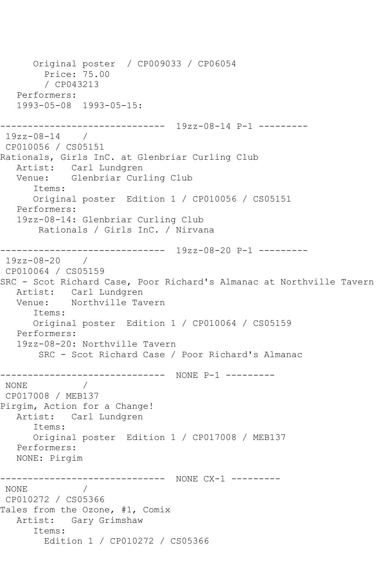```
 Original poster / CP009033 / CP06054
        Price: 75.00
        / CP043213
   Performers:
   1993-05-08 1993-05-15:
------------------------------ 19zz-08-14 P-1 ---------
19zz-08-14 / 
CP010056 / CS05151
Rationals, Girls InC. at Glenbriar Curling Club
 Artist: Carl Lundgren
 Venue: Glenbriar Curling Club
      Items:
      Original poster Edition 1 / CP010056 / CS05151
   Performers:
   19zz-08-14: Glenbriar Curling Club
       Rationals / Girls InC. / Nirvana
               ------------------------------ 19zz-08-20 P-1 ---------
19zz-08-20 / 
CP010064 / CS05159
SRC - Scot Richard Case, Poor Richard's Almanac at Northville Tavern
   Artist: Carl Lundgren
   Venue: Northville Tavern
      Items:
      Original poster Edition 1 / CP010064 / CS05159
   Performers:
   19zz-08-20: Northville Tavern
       SRC - Scot Richard Case / Poor Richard's Almanac
------------------------------ NONE P-1 ---------
NONE / 
CP017008 / MEB137
Pirgim, Action for a Change!
   Artist: Carl Lundgren
      Items:
      Original poster Edition 1 / CP017008 / MEB137
   Performers:
   NONE: Pirgim
------------------------------ NONE CX-1 ---------
NONE / 
CP010272 / CS05366
Tales from the Ozone, #1, Comix
   Artist: Gary Grimshaw
      Items:
        Edition 1 / CP010272 / CS05366
```